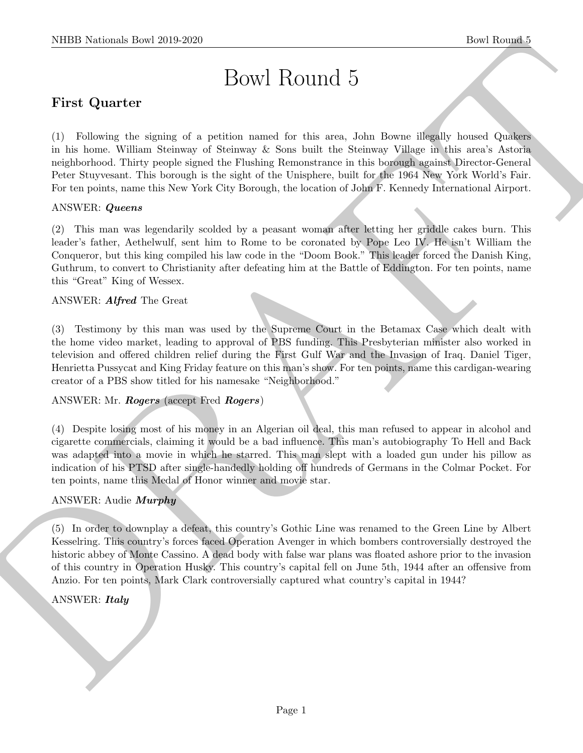# Bowl Round 5

# First Quarter

(1) Following the signing of a petition named for this area, John Bowne illegally housed Quakers in his home. William Steinway of Steinway & Sons built the Steinway Village in this area's Astoria neighborhood. Thirty people signed the Flushing Remonstrance in this borough against Director-General Peter Stuyvesant. This borough is the sight of the Unisphere, built for the 1964 New York World's Fair. For ten points, name this New York City Borough, the location of John F. Kennedy International Airport.

#### ANSWER: Queens

(2) This man was legendarily scolded by a peasant woman after letting her griddle cakes burn. This leader's father, Aethelwulf, sent him to Rome to be coronated by Pope Leo IV. He isn't William the Conqueror, but this king compiled his law code in the "Doom Book." This leader forced the Danish King, Guthrum, to convert to Christianity after defeating him at the Battle of Eddington. For ten points, name this "Great" King of Wessex.

#### ANSWER: Alfred The Great

NIBB Notional: Dow 2019-2020<br>
Dow H ROUTH 15<br>
First Quarter<br>
(1) Follows the mainly of a pointer metal of the search, also from the fly boasts Quarter<br>
(1) Follows the station of Station metal of the search also place the (3) Testimony by this man was used by the Supreme Court in the Betamax Case which dealt with the home video market, leading to approval of PBS funding. This Presbyterian minister also worked in television and offered children relief during the First Gulf War and the Invasion of Iraq. Daniel Tiger, Henrietta Pussycat and King Friday feature on this man's show. For ten points, name this cardigan-wearing creator of a PBS show titled for his namesake "Neighborhood."

#### ANSWER: Mr. Rogers (accept Fred Rogers)

(4) Despite losing most of his money in an Algerian oil deal, this man refused to appear in alcohol and cigarette commercials, claiming it would be a bad influence. This man's autobiography To Hell and Back was adapted into a movie in which he starred. This man slept with a loaded gun under his pillow as indication of his PTSD after single-handedly holding off hundreds of Germans in the Colmar Pocket. For ten points, name this Medal of Honor winner and movie star.

#### ANSWER: Audie Murphy

(5) In order to downplay a defeat, this country's Gothic Line was renamed to the Green Line by Albert Kesselring. This country's forces faced Operation Avenger in which bombers controversially destroyed the historic abbey of Monte Cassino. A dead body with false war plans was floated ashore prior to the invasion of this country in Operation Husky. This country's capital fell on June 5th, 1944 after an offensive from Anzio. For ten points, Mark Clark controversially captured what country's capital in 1944?

#### ANSWER: *Italy*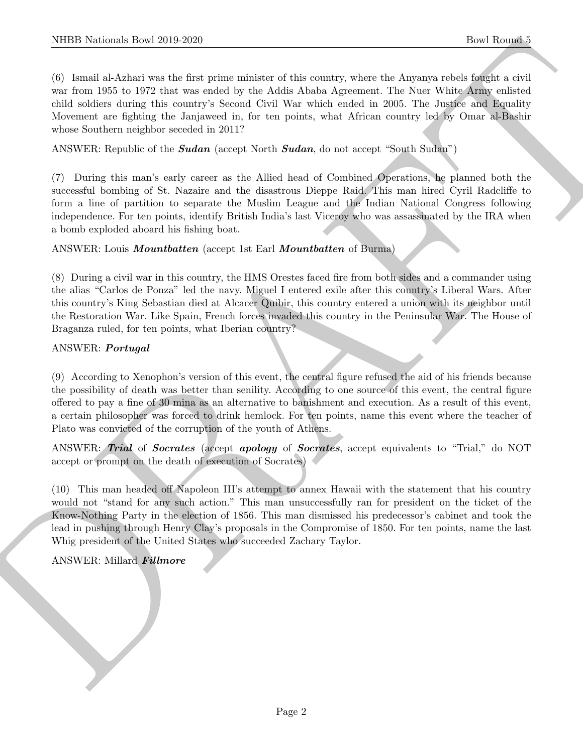(6) Ismail al-Azhari was the first prime minister of this country, where the Anyanya rebels fought a civil war from 1955 to 1972 that was ended by the Addis Ababa Agreement. The Nuer White Army enlisted child soldiers during this country's Second Civil War which ended in 2005. The Justice and Equality Movement are fighting the Janjaweed in, for ten points, what African country led by Omar al-Bashir whose Southern neighbor seceded in 2011?

ANSWER: Republic of the **Sudan** (accept North **Sudan**, do not accept "South Sudan")

(7) During this man's early career as the Allied head of Combined Operations, he planned both the successful bombing of St. Nazaire and the disastrous Dieppe Raid. This man hired Cyril Radcliffe to form a line of partition to separate the Muslim League and the Indian National Congress following independence. For ten points, identify British India's last Viceroy who was assassinated by the IRA when a bomb exploded aboard his fishing boat.

ANSWER: Louis *Mountbatten* (accept 1st Earl *Mountbatten* of Burma)

(8) During a civil war in this country, the HMS Orestes faced fire from both sides and a commander using the alias "Carlos de Ponza" led the navy. Miguel I entered exile after this country's Liberal Wars. After this country's King Sebastian died at Alcacer Quibir, this country entered a union with its neighbor until the Restoration War. Like Spain, French forces invaded this country in the Peninsular War. The House of Braganza ruled, for ten points, what Iberian country?

#### ANSWER: Portugal

NIBB Noticeals, how 2019-2620.<br>
The Rounds 7 (b) Level Rounds 7 (b) the control of this conduct of this control is a bottom the Above relation of the form of the form of the state of the state of the state of the state of (9) According to Xenophon's version of this event, the central figure refused the aid of his friends because the possibility of death was better than senility. According to one source of this event, the central figure offered to pay a fine of 30 mina as an alternative to banishment and execution. As a result of this event, a certain philosopher was forced to drink hemlock. For ten points, name this event where the teacher of Plato was convicted of the corruption of the youth of Athens.

ANSWER: Trial of Socrates (accept apology of Socrates, accept equivalents to "Trial," do NOT accept or prompt on the death of execution of Socrates)

(10) This man headed off Napoleon III's attempt to annex Hawaii with the statement that his country would not "stand for any such action." This man unsuccessfully ran for president on the ticket of the Know-Nothing Party in the election of 1856. This man dismissed his predecessor's cabinet and took the lead in pushing through Henry Clay's proposals in the Compromise of 1850. For ten points, name the last Whig president of the United States who succeeded Zachary Taylor.

#### ANSWER: Millard Fillmore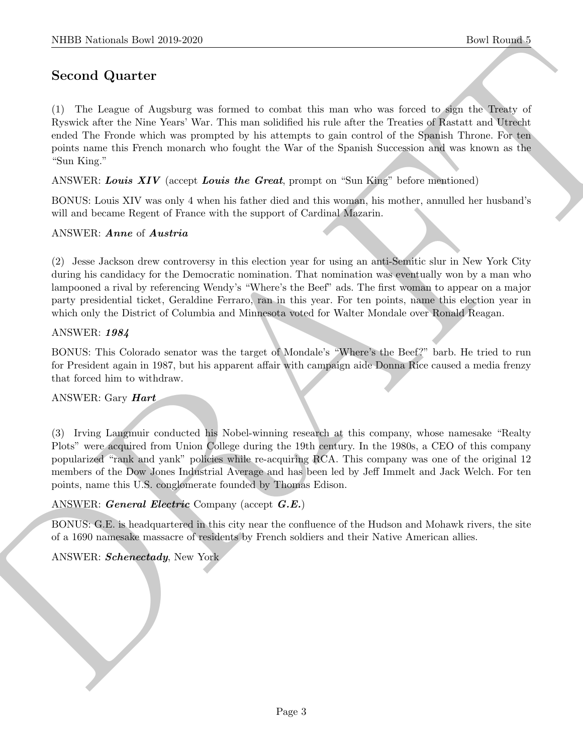## Second Quarter

(1) The League of Augsburg was formed to combat this man who was forced to sign the Treaty of Ryswick after the Nine Years' War. This man solidified his rule after the Treaties of Rastatt and Utrecht ended The Fronde which was prompted by his attempts to gain control of the Spanish Throne. For ten points name this French monarch who fought the War of the Spanish Succession and was known as the "Sun King."

ANSWER: Louis XIV (accept Louis the Great, prompt on "Sun King" before mentioned)

BONUS: Louis XIV was only 4 when his father died and this woman, his mother, annulled her husband's will and became Regent of France with the support of Cardinal Mazarin.

#### ANSWER: Anne of Austria

NIBB Notionals how 2019-2020<br>
Second Quart for<br>
CD The Longon's discusses of Augising was formed to consist the mass whose was formed as given the Theorem<br>
CR Second off it do Natio Your View This case and<br>the dash was fo (2) Jesse Jackson drew controversy in this election year for using an anti-Semitic slur in New York City during his candidacy for the Democratic nomination. That nomination was eventually won by a man who lampooned a rival by referencing Wendy's "Where's the Beef" ads. The first woman to appear on a major party presidential ticket, Geraldine Ferraro, ran in this year. For ten points, name this election year in which only the District of Columbia and Minnesota voted for Walter Mondale over Ronald Reagan.

#### ANSWER: 1984

BONUS: This Colorado senator was the target of Mondale's "Where's the Beef?" barb. He tried to run for President again in 1987, but his apparent affair with campaign aide Donna Rice caused a media frenzy that forced him to withdraw.

#### ANSWER: Gary Hart

(3) Irving Langmuir conducted his Nobel-winning research at this company, whose namesake "Realty Plots" were acquired from Union College during the 19th century. In the 1980s, a CEO of this company popularized "rank and yank" policies while re-acquiring RCA. This company was one of the original 12 members of the Dow Jones Industrial Average and has been led by Jeff Immelt and Jack Welch. For ten points, name this U.S. conglomerate founded by Thomas Edison.

ANSWER: General Electric Company (accept G.E.)

BONUS: G.E. is headquartered in this city near the confluence of the Hudson and Mohawk rivers, the site of a 1690 namesake massacre of residents by French soldiers and their Native American allies.

ANSWER: Schenectady, New York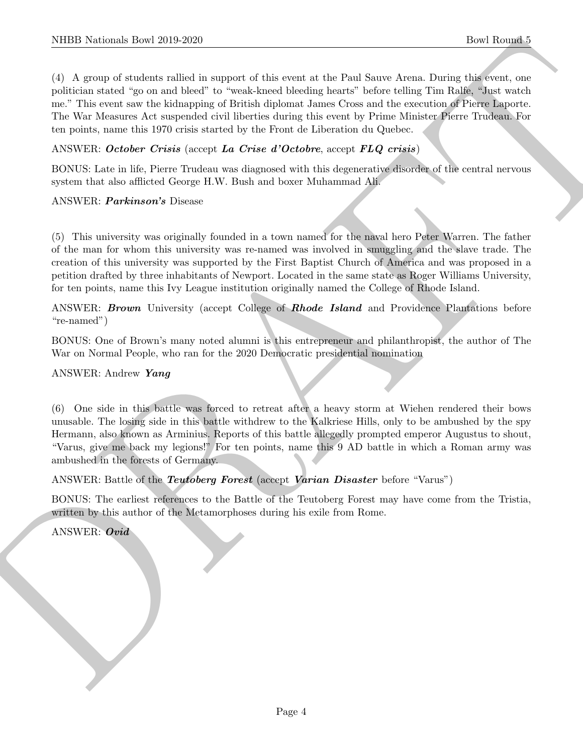NIBB Notionals how 2019-2020.<br>
The Roman collection and support of this cost is the Pont Second<br>Analytical formula control and the control of the cost is the Pont Second Data<br>In the polynomial control of the material coll (4) A group of students rallied in support of this event at the Paul Sauve Arena. During this event, one politician stated "go on and bleed" to "weak-kneed bleeding hearts" before telling Tim Ralfe, "Just watch me." This event saw the kidnapping of British diplomat James Cross and the execution of Pierre Laporte. The War Measures Act suspended civil liberties during this event by Prime Minister Pierre Trudeau. For ten points, name this 1970 crisis started by the Front de Liberation du Quebec.

#### ANSWER: October Crisis (accept La Crise d'Octobre, accept FLQ crisis)

BONUS: Late in life, Pierre Trudeau was diagnosed with this degenerative disorder of the central nervous system that also afflicted George H.W. Bush and boxer Muhammad Ali.

#### ANSWER: Parkinson's Disease

(5) This university was originally founded in a town named for the naval hero Peter Warren. The father of the man for whom this university was re-named was involved in smuggling and the slave trade. The creation of this university was supported by the First Baptist Church of America and was proposed in a petition drafted by three inhabitants of Newport. Located in the same state as Roger Williams University, for ten points, name this Ivy League institution originally named the College of Rhode Island.

ANSWER: **Brown** University (accept College of **Rhode Island** and Providence Plantations before "re-named")

BONUS: One of Brown's many noted alumni is this entrepreneur and philanthropist, the author of The War on Normal People, who ran for the 2020 Democratic presidential nomination

#### ANSWER: Andrew Yang

(6) One side in this battle was forced to retreat after a heavy storm at Wiehen rendered their bows unusable. The losing side in this battle withdrew to the Kalkriese Hills, only to be ambushed by the spy Hermann, also known as Arminius. Reports of this battle allegedly prompted emperor Augustus to shout, "Varus, give me back my legions!" For ten points, name this 9 AD battle in which a Roman army was ambushed in the forests of Germany.

ANSWER: Battle of the *Teutoberg Forest* (accept *Varian Disaster* before "Varus")

BONUS: The earliest references to the Battle of the Teutoberg Forest may have come from the Tristia, written by this author of the Metamorphoses during his exile from Rome.

ANSWER: Ovid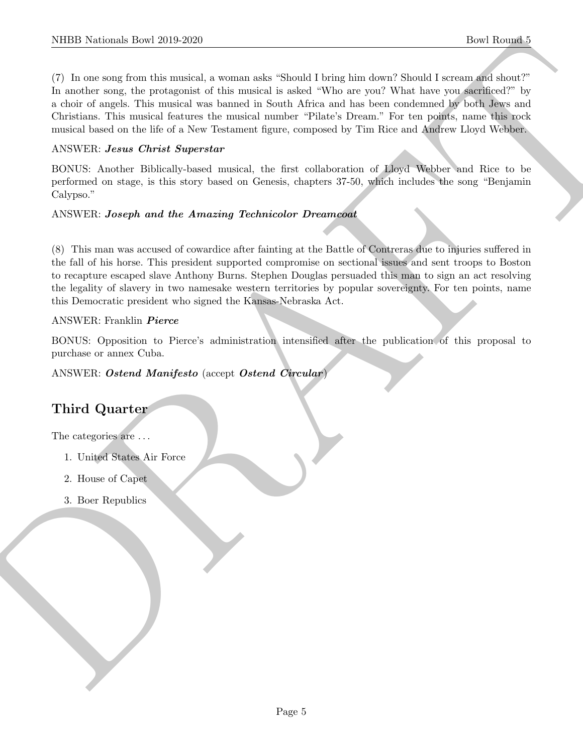NIBB Notionals how 2019-2020.<br>
The Rounds of the materials and a subset of South Hotel East dev. Should have a stress of the stress of the stress of the stress of the stress of the stress of the stress of the stress of th (7) In one song from this musical, a woman asks "Should I bring him down? Should I scream and shout?" In another song, the protagonist of this musical is asked "Who are you? What have you sacrificed?" by a choir of angels. This musical was banned in South Africa and has been condemned by both Jews and Christians. This musical features the musical number "Pilate's Dream." For ten points, name this rock musical based on the life of a New Testament figure, composed by Tim Rice and Andrew Lloyd Webber.

#### ANSWER: Jesus Christ Superstar

BONUS: Another Biblically-based musical, the first collaboration of Lloyd Webber and Rice to be performed on stage, is this story based on Genesis, chapters 37-50, which includes the song "Benjamin Calypso."

#### ANSWER: Joseph and the Amazing Technicolor Dreamcoat

(8) This man was accused of cowardice after fainting at the Battle of Contreras due to injuries suffered in the fall of his horse. This president supported compromise on sectional issues and sent troops to Boston to recapture escaped slave Anthony Burns. Stephen Douglas persuaded this man to sign an act resolving the legality of slavery in two namesake western territories by popular sovereignty. For ten points, name this Democratic president who signed the Kansas-Nebraska Act.

#### ANSWER: Franklin Pierce

BONUS: Opposition to Pierce's administration intensified after the publication of this proposal to purchase or annex Cuba.

#### ANSWER: Ostend Manifesto (accept Ostend Circular)

## Third Quarter

The categories are  $\dots$ 

- 1. United States Air Force
- 2. House of Capet
- 3. Boer Republics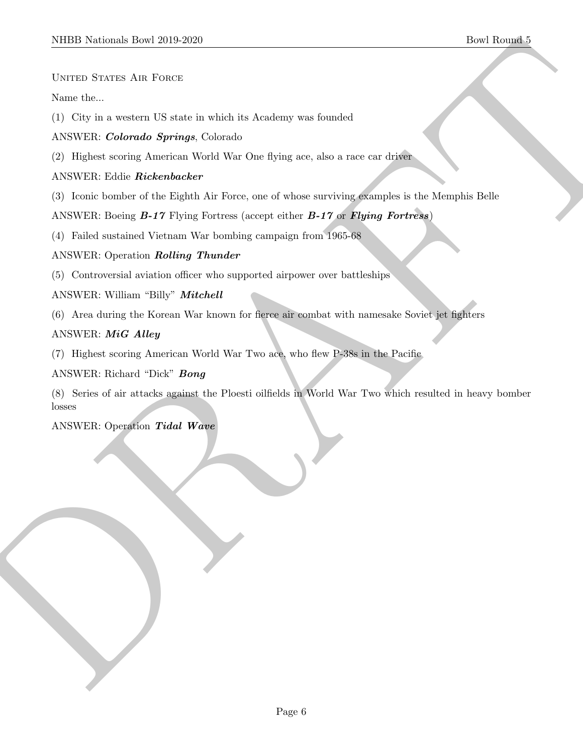UNITED STATES AIR FORCE

Name the...

(1) City in a western US state in which its Academy was founded

ANSWER: Colorado Springs, Colorado

(2) Highest scoring American World War One flying ace, also a race car driver

ANSWER: Eddie Rickenbacker

(3) Iconic bomber of the Eighth Air Force, one of whose surviving examples is the Memphis Belle

ANSWER: Boeing **B-17** Flying Fortress (accept either **B-17** or **Flying Fortress**)

(4) Failed sustained Vietnam War bombing campaign from 1965-68

#### ANSWER: Operation Rolling Thunder

(5) Controversial aviation officer who supported airpower over battleships

ANSWER: William "Billy" Mitchell

(6) Area during the Korean War known for fierce air combat with namesake Soviet jet fighters

#### ANSWER: MiG Alley

(7) Highest scoring American World War Two ace, who flew P-38s in the Pacific

ANSWER: Richard "Dick" Bong

MIDD Nettons have 2019-2020<br>
Userti Downstein, David 2019-2020<br>
Netton Sterns Art Potentie<br>
Now the construction depress Columbia in American was founded<br>
ANSWER: Color Related to the Right Art Free, and when successing pr (8) Series of air attacks against the Ploesti oilfields in World War Two which resulted in heavy bomber losses

ANSWER: Operation Tidal Wave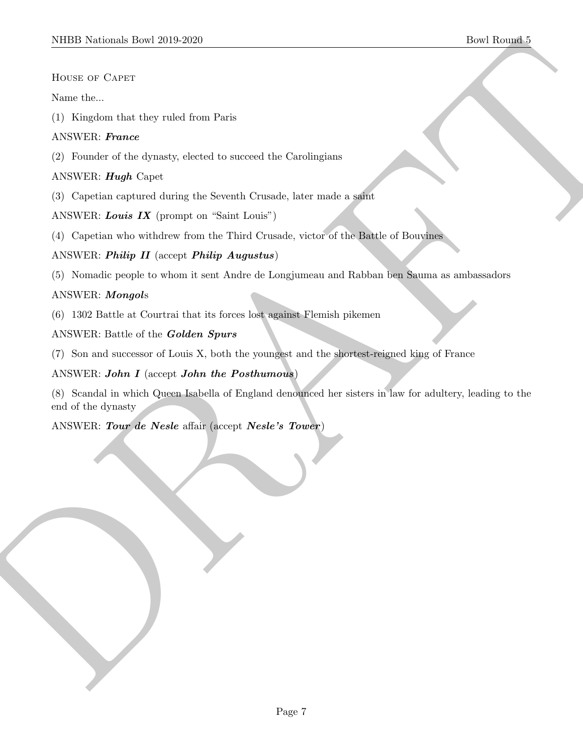House of Capet

Name the...

(1) Kingdom that they ruled from Paris

#### ANSWER: France

(2) Founder of the dynasty, elected to succeed the Carolingians

#### ANSWER: Hugh Capet

(3) Capetian captured during the Seventh Crusade, later made a saint

ANSWER: Louis IX (prompt on "Saint Louis")

(4) Capetian who withdrew from the Third Crusade, victor of the Battle of Bouvines

#### ANSWER: Philip II (accept Philip Augustus)

(5) Nomadic people to whom it sent Andre de Longjumeau and Rabban ben Sauma as ambassadors

#### ANSWER: Mongols

- (6) 1302 Battle at Courtrai that its forces lost against Flemish pikemen
- ANSWER: Battle of the Golden Spurs
- (7) Son and successor of Louis X, both the youngest and the shortest-reigned king of France

#### ANSWER: John I (accept John the Posthumous)

MIDD Netticals Town 2019-2020<br>
Here States of Carter<br>
Novel Sec. Contracts<br>
(1) Nettical contracts the predict from Paris<br>
(2) Poussilve of the determine the contract the Contractions<br>
(2) Poussilve Care Contract the model (8) Scandal in which Queen Isabella of England denounced her sisters in law for adultery, leading to the end of the dynasty

ANSWER: Tour de Nesle affair (accept Nesle's Tower)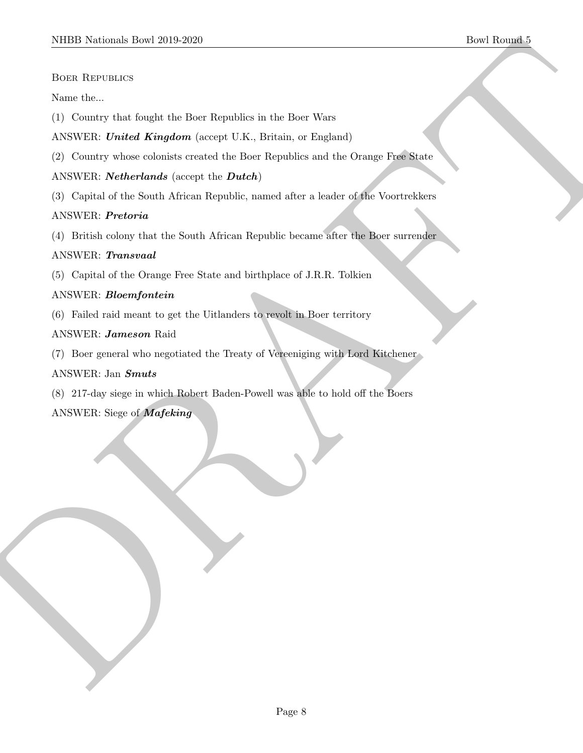#### Boer Republics

Name the...

- (1) Country that fought the Boer Republics in the Boer Wars
- ANSWER: United Kingdom (accept U.K., Britain, or England)
- (2) Country whose colonists created the Boer Republics and the Orange Free State

#### ANSWER: **Netherlands** (accept the **Dutch**)

(3) Capital of the South African Republic, named after a leader of the Voortrekkers

#### ANSWER: Pretoria

MIDD Neideach Ibert 2019-2020<br>
Best Reservators<br>
State Reservations<br>
(1) Convery short longits the Hear Republics in the Base Ware<br>
(1) Convery short density the Best Republic Convert CR, Building and Excellent Convert Pro (4) British colony that the South African Republic became after the Boer surrender

#### ANSWER: Transvaal

(5) Capital of the Orange Free State and birthplace of J.R.R. Tolkien

#### ANSWER: Bloemfontein

(6) Failed raid meant to get the Uitlanders to revolt in Boer territory

#### ANSWER: Jameson Raid

(7) Boer general who negotiated the Treaty of Vereeniging with Lord Kitchener

#### ANSWER: Jan Smuts

(8) 217-day siege in which Robert Baden-Powell was able to hold off the Boers

ANSWER: Siege of Mafeking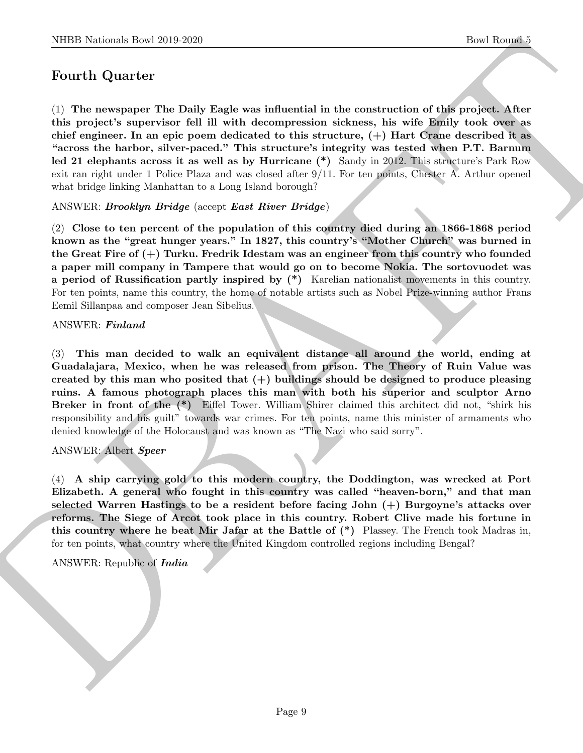## Fourth Quarter

(1) The newspaper The Daily Eagle was influential in the construction of this project. After this project's supervisor fell ill with decompression sickness, his wife Emily took over as chief engineer. In an epic poem dedicated to this structure, (+) Hart Crane described it as "across the harbor, silver-paced." This structure's integrity was tested when P.T. Barnum led 21 elephants across it as well as by Hurricane (\*) Sandy in 2012. This structure's Park Row exit ran right under 1 Police Plaza and was closed after 9/11. For ten points, Chester A. Arthur opened what bridge linking Manhattan to a Long Island borough?

#### ANSWER: Brooklyn Bridge (accept East River Bridge)

(2) Close to ten percent of the population of this country died during an 1866-1868 period known as the "great hunger years." In 1827, this country's "Mother Church" was burned in the Great Fire of  $(+)$  Turku. Fredrik Idestam was an engineer from this country who founded a paper mill company in Tampere that would go on to become Nokia. The sortovuodet was a period of Russification partly inspired by (\*) Karelian nationalist movements in this country. For ten points, name this country, the home of notable artists such as Nobel Prize-winning author Frans Eemil Sillanpaa and composer Jean Sibelius.

#### ANSWER: Finland

NIBB Noticeal- how 20:0 2260<br>
Doel Rowski <br>
For Rowski (Equivariant in the construction of this project. After<br>
C) The are species supercises foll if with decomposed<br>to above, the with Builty took over a chief conjugate. (3) This man decided to walk an equivalent distance all around the world, ending at Guadalajara, Mexico, when he was released from prison. The Theory of Ruin Value was created by this man who posited that  $(+)$  buildings should be designed to produce pleasing ruins. A famous photograph places this man with both his superior and sculptor Arno Breker in front of the (\*) Eiffel Tower. William Shirer claimed this architect did not, "shirk his responsibility and his guilt" towards war crimes. For ten points, name this minister of armaments who denied knowledge of the Holocaust and was known as "The Nazi who said sorry".

#### ANSWER: Albert Speer

(4) A ship carrying gold to this modern country, the Doddington, was wrecked at Port Elizabeth. A general who fought in this country was called "heaven-born," and that man selected Warren Hastings to be a resident before facing John (+) Burgoyne's attacks over reforms. The Siege of Arcot took place in this country. Robert Clive made his fortune in this country where he beat Mir Jafar at the Battle of (\*) Plassey. The French took Madras in, for ten points, what country where the United Kingdom controlled regions including Bengal?

ANSWER: Republic of India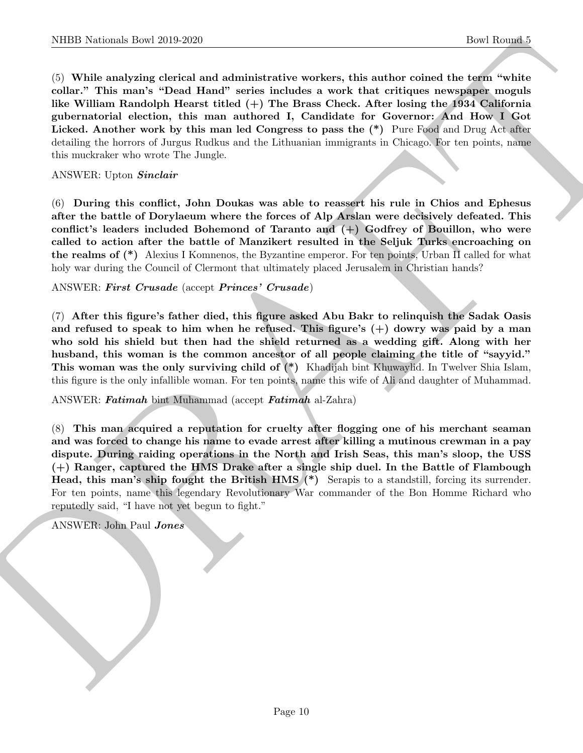NIBB Noticeals how 2019-2020<br>
Consider the Rounds How 2019-2020<br>
Consider the Rounds of the Rounds of the Rounds of the Archivest control and the Constraints of the NIR and The William Instantine (and The William Instanti (5) While analyzing clerical and administrative workers, this author coined the term "white collar." This man's "Dead Hand" series includes a work that critiques newspaper moguls like William Randolph Hearst titled  $(+)$  The Brass Check. After losing the 1934 California gubernatorial election, this man authored I, Candidate for Governor: And How I Got Licked. Another work by this man led Congress to pass the  $(*)$  Pure Food and Drug Act after detailing the horrors of Jurgus Rudkus and the Lithuanian immigrants in Chicago. For ten points, name this muckraker who wrote The Jungle.

ANSWER: Upton Sinclair

(6) During this conflict, John Doukas was able to reassert his rule in Chios and Ephesus after the battle of Dorylaeum where the forces of Alp Arslan were decisively defeated. This conflict's leaders included Bohemond of Taranto and  $(+)$  Godfrey of Bouillon, who were called to action after the battle of Manzikert resulted in the Seljuk Turks encroaching on the realms of (\*) Alexius I Komnenos, the Byzantine emperor. For ten points, Urban II called for what holy war during the Council of Clermont that ultimately placed Jerusalem in Christian hands?

ANSWER: First Crusade (accept Princes' Crusade)

(7) After this figure's father died, this figure asked Abu Bakr to relinquish the Sadak Oasis and refused to speak to him when he refused. This figure's  $(+)$  dowry was paid by a man who sold his shield but then had the shield returned as a wedding gift. Along with her husband, this woman is the common ancestor of all people claiming the title of "sayyid." This woman was the only surviving child of (\*) Khadijah bint Khuwaylid. In Twelver Shia Islam, this figure is the only infallible woman. For ten points, name this wife of Ali and daughter of Muhammad.

ANSWER: Fatimah bint Muhammad (accept Fatimah al-Zahra)

(8) This man acquired a reputation for cruelty after flogging one of his merchant seaman and was forced to change his name to evade arrest after killing a mutinous crewman in a pay dispute. During raiding operations in the North and Irish Seas, this man's sloop, the USS (+) Ranger, captured the HMS Drake after a single ship duel. In the Battle of Flambough Head, this man's ship fought the British HMS (\*) Serapis to a standstill, forcing its surrender. For ten points, name this legendary Revolutionary War commander of the Bon Homme Richard who reputedly said, "I have not yet begun to fight."

ANSWER: John Paul Jones